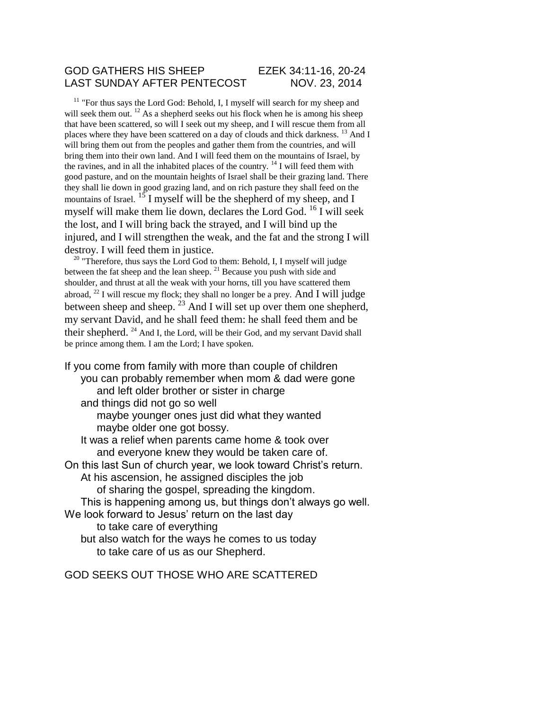#### GOD GATHERS HIS SHEEP EZEK 34:11-16, 20-24 LAST SUNDAY AFTER PENTECOST NOV. 23, 2014

<sup>11</sup> "For thus says the Lord God: Behold, I, I myself will search for my sheep and will seek them out.  $^{12}$  As a shepherd seeks out his flock when he is among his sheep that have been scattered, so will I seek out my sheep, and I will rescue them from all places where they have been scattered on a day of clouds and thick darkness.  $^{13}$  And I will bring them out from the peoples and gather them from the countries, and will bring them into their own land. And I will feed them on the mountains of Israel, by the ravines, and in all the inhabited places of the country.  $14$  I will feed them with good pasture, and on the mountain heights of Israel shall be their grazing land. There they shall lie down in good grazing land, and on rich pasture they shall feed on the mountains of Israel.  $^{15}$  I myself will be the shepherd of my sheep, and I myself will make them lie down, declares the Lord God. <sup>16</sup> I will seek the lost, and I will bring back the strayed, and I will bind up the injured, and I will strengthen the weak, and the fat and the strong I will destroy. I will feed them in justice.

<sup>20</sup> "Therefore, thus says the Lord God to them: Behold, I, I myself will judge between the fat sheep and the lean sheep.  $21$  Because you push with side and shoulder, and thrust at all the weak with your horns, till you have scattered them abroad,  $^{22}$  I will rescue my flock; they shall no longer be a prey. And I will judge between sheep and sheep. <sup>23</sup> And I will set up over them one shepherd, my servant David, and he shall feed them: he shall feed them and be their shepherd.  $^{24}$  And I, the Lord, will be their God, and my servant David shall be prince among them. I am the Lord; I have spoken.

If you come from family with more than couple of children you can probably remember when mom & dad were gone and left older brother or sister in charge and things did not go so well

maybe younger ones just did what they wanted maybe older one got bossy.

It was a relief when parents came home & took over and everyone knew they would be taken care of. On this last Sun of church year, we look toward Christ's return.

At his ascension, he assigned disciples the job

of sharing the gospel, spreading the kingdom.

This is happening among us, but things don't always go well.

We look forward to Jesus' return on the last day

to take care of everything

but also watch for the ways he comes to us today to take care of us as our Shepherd.

GOD SEEKS OUT THOSE WHO ARE SCATTERED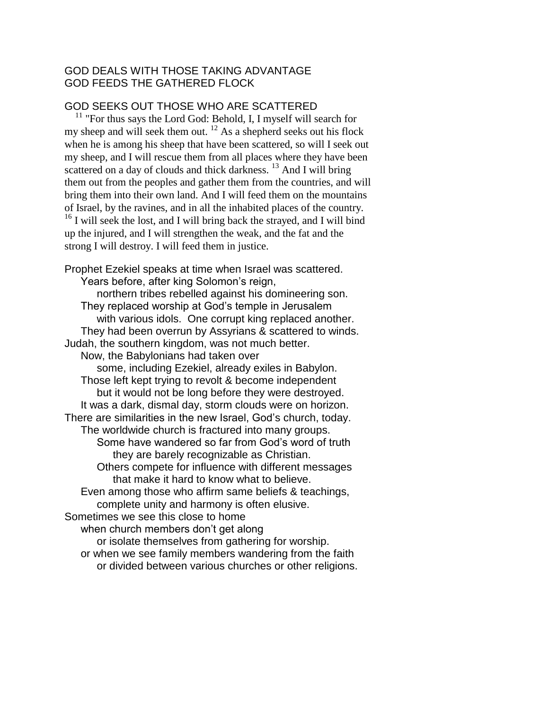# GOD DEALS WITH THOSE TAKING ADVANTAGE GOD FEEDS THE GATHERED FLOCK

### GOD SEEKS OUT THOSE WHO ARE SCATTERED

 $11$  "For thus says the Lord God: Behold, I, I myself will search for my sheep and will seek them out.  $^{12}$  As a shepherd seeks out his flock when he is among his sheep that have been scattered, so will I seek out my sheep, and I will rescue them from all places where they have been scattered on a day of clouds and thick darkness.<sup>13</sup> And I will bring them out from the peoples and gather them from the countries, and will bring them into their own land. And I will feed them on the mountains of Israel, by the ravines, and in all the inhabited places of the country.  $^{16}$  I will seek the lost, and I will bring back the strayed, and I will bind up the injured, and I will strengthen the weak, and the fat and the strong I will destroy. I will feed them in justice.

Prophet Ezekiel speaks at time when Israel was scattered. Years before, after king Solomon's reign, northern tribes rebelled against his domineering son. They replaced worship at God's temple in Jerusalem with various idols. One corrupt king replaced another. They had been overrun by Assyrians & scattered to winds. Judah, the southern kingdom, was not much better. Now, the Babylonians had taken over some, including Ezekiel, already exiles in Babylon. Those left kept trying to revolt & become independent but it would not be long before they were destroyed. It was a dark, dismal day, storm clouds were on horizon. There are similarities in the new Israel, God's church, today. The worldwide church is fractured into many groups. Some have wandered so far from God's word of truth they are barely recognizable as Christian. Others compete for influence with different messages that make it hard to know what to believe. Even among those who affirm same beliefs & teachings, complete unity and harmony is often elusive. Sometimes we see this close to home when church members don't get along or isolate themselves from gathering for worship. or when we see family members wandering from the faith or divided between various churches or other religions.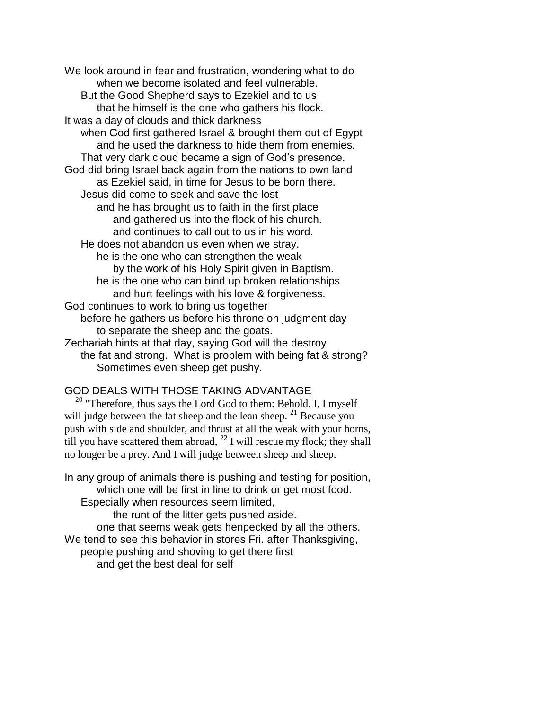We look around in fear and frustration, wondering what to do when we become isolated and feel vulnerable. But the Good Shepherd says to Ezekiel and to us that he himself is the one who gathers his flock. It was a day of clouds and thick darkness when God first gathered Israel & brought them out of Egypt and he used the darkness to hide them from enemies. That very dark cloud became a sign of God's presence. God did bring Israel back again from the nations to own land as Ezekiel said, in time for Jesus to be born there. Jesus did come to seek and save the lost and he has brought us to faith in the first place and gathered us into the flock of his church. and continues to call out to us in his word. He does not abandon us even when we stray. he is the one who can strengthen the weak by the work of his Holy Spirit given in Baptism. he is the one who can bind up broken relationships and hurt feelings with his love & forgiveness. God continues to work to bring us together before he gathers us before his throne on judgment day to separate the sheep and the goats. Zechariah hints at that day, saying God will the destroy the fat and strong. What is problem with being fat & strong? Sometimes even sheep get pushy.

# GOD DEALS WITH THOSE TAKING ADVANTAGE

<sup>20</sup> "Therefore, thus says the Lord God to them: Behold, I, I myself will judge between the fat sheep and the lean sheep. <sup>21</sup> Because you push with side and shoulder, and thrust at all the weak with your horns, till you have scattered them abroad,  $^{22}$  I will rescue my flock; they shall no longer be a prey. And I will judge between sheep and sheep.

In any group of animals there is pushing and testing for position, which one will be first in line to drink or get most food. Especially when resources seem limited, the runt of the litter gets pushed aside. one that seems weak gets henpecked by all the others. We tend to see this behavior in stores Fri. after Thanksgiving, people pushing and shoving to get there first and get the best deal for self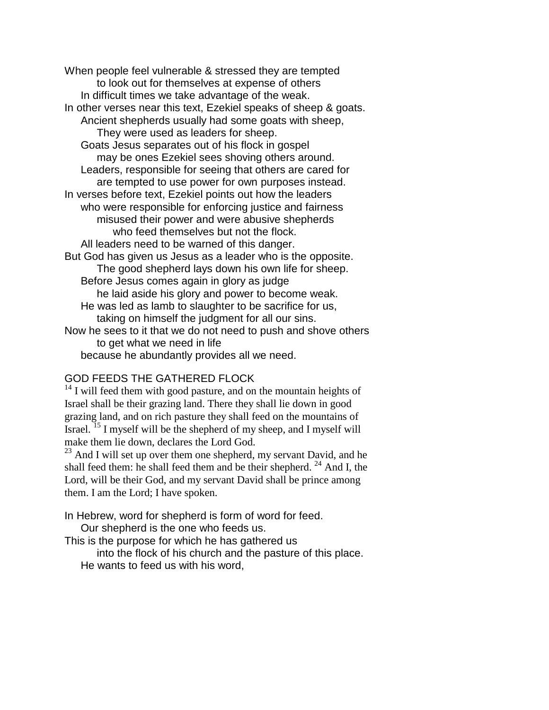When people feel vulnerable & stressed they are tempted to look out for themselves at expense of others In difficult times we take advantage of the weak. In other verses near this text, Ezekiel speaks of sheep & goats. Ancient shepherds usually had some goats with sheep, They were used as leaders for sheep. Goats Jesus separates out of his flock in gospel may be ones Ezekiel sees shoving others around. Leaders, responsible for seeing that others are cared for are tempted to use power for own purposes instead. In verses before text, Ezekiel points out how the leaders who were responsible for enforcing justice and fairness misused their power and were abusive shepherds who feed themselves but not the flock. All leaders need to be warned of this danger. But God has given us Jesus as a leader who is the opposite. The good shepherd lays down his own life for sheep. Before Jesus comes again in glory as judge he laid aside his glory and power to become weak. He was led as lamb to slaughter to be sacrifice for us, taking on himself the judgment for all our sins. Now he sees to it that we do not need to push and shove others to get what we need in life because he abundantly provides all we need.

# GOD FEEDS THE GATHERED FLOCK

 $14$  I will feed them with good pasture, and on the mountain heights of Israel shall be their grazing land. There they shall lie down in good grazing land, and on rich pasture they shall feed on the mountains of Israel. <sup>15</sup> I myself will be the shepherd of my sheep, and I myself will make them lie down, declares the Lord God.

 $^{23}$  And I will set up over them one shepherd, my servant David, and he shall feed them: he shall feed them and be their shepherd. <sup>24</sup> And I, the Lord, will be their God, and my servant David shall be prince among them. I am the Lord; I have spoken.

In Hebrew, word for shepherd is form of word for feed.

Our shepherd is the one who feeds us.

This is the purpose for which he has gathered us

into the flock of his church and the pasture of this place. He wants to feed us with his word,